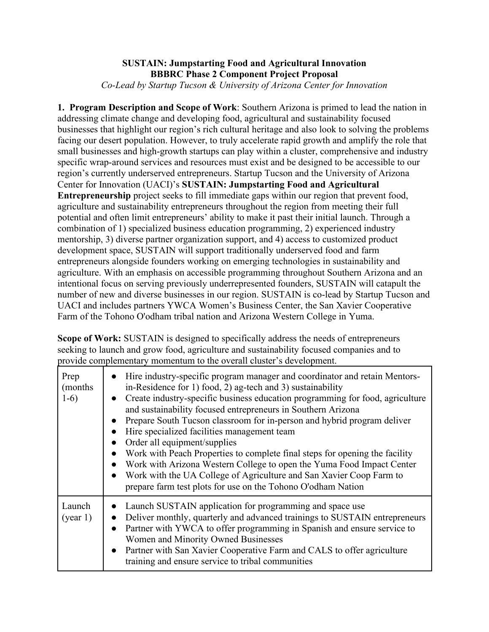## **SUSTAIN: Jumpstarting Food and Agricultural Innovation BBBRC Phase 2 Component Project Proposal** *Co-Lead by Startup Tucson & University of Arizona Center for Innovation*

**1. Program Description and Scope of Work**: Southern Arizona is primed to lead the nation in addressing climate change and developing food, agricultural and sustainability focused businesses that highlight our region's rich cultural heritage and also look to solving the problems facing our desert population. However, to truly accelerate rapid growth and amplify the role that small businesses and high-growth startups can play within a cluster, comprehensive and industry specific wrap-around services and resources must exist and be designed to be accessible to our region's currently underserved entrepreneurs. Startup Tucson and the University of Arizona Center for Innovation (UACI)'s **SUSTAIN: Jumpstarting Food and Agricultural Entrepreneurship** project seeks to fill immediate gaps within our region that prevent food, agriculture and sustainability entrepreneurs throughout the region from meeting their full potential and often limit entrepreneurs' ability to make it past their initial launch. Through a combination of 1) specialized business education programming, 2) experienced industry mentorship, 3) diverse partner organization support, and 4) access to customized product development space, SUSTAIN will support traditionally underserved food and farm entrepreneurs alongside founders working on emerging technologies in sustainability and agriculture. With an emphasis on accessible programming throughout Southern Arizona and an intentional focus on serving previously underrepresented founders, SUSTAIN will catapult the number of new and diverse businesses in our region. SUSTAIN is co-lead by Startup Tucson and UACI and includes partners YWCA Women's Business Center, the San Xavier Cooperative Farm of the Tohono O'odham tribal nation and Arizona Western College in Yuma.

**Scope of Work:** SUSTAIN is designed to specifically address the needs of entrepreneurs seeking to launch and grow food, agriculture and sustainability focused companies and to provide complementary momentum to the overall cluster's development.

| Prep<br>(months)<br>$1-6)$ | • Hire industry-specific program manager and coordinator and retain Mentors-<br>in-Residence for 1) food, 2) ag-tech and 3) sustainability<br>• Create industry-specific business education programming for food, agriculture<br>and sustainability focused entrepreneurs in Southern Arizona<br>Prepare South Tucson classroom for in-person and hybrid program deliver<br>Hire specialized facilities management team<br>Order all equipment/supplies<br>Work with Peach Properties to complete final steps for opening the facility<br>Work with Arizona Western College to open the Yuma Food Impact Center<br>Work with the UA College of Agriculture and San Xavier Coop Farm to<br>prepare farm test plots for use on the Tohono O'odham Nation |
|----------------------------|--------------------------------------------------------------------------------------------------------------------------------------------------------------------------------------------------------------------------------------------------------------------------------------------------------------------------------------------------------------------------------------------------------------------------------------------------------------------------------------------------------------------------------------------------------------------------------------------------------------------------------------------------------------------------------------------------------------------------------------------------------|
| Launch<br>(year 1)         | Launch SUSTAIN application for programming and space use<br>Deliver monthly, quarterly and advanced trainings to SUSTAIN entrepreneurs<br>Partner with YWCA to offer programming in Spanish and ensure service to<br>Women and Minority Owned Businesses<br>Partner with San Xavier Cooperative Farm and CALS to offer agriculture<br>training and ensure service to tribal communities                                                                                                                                                                                                                                                                                                                                                                |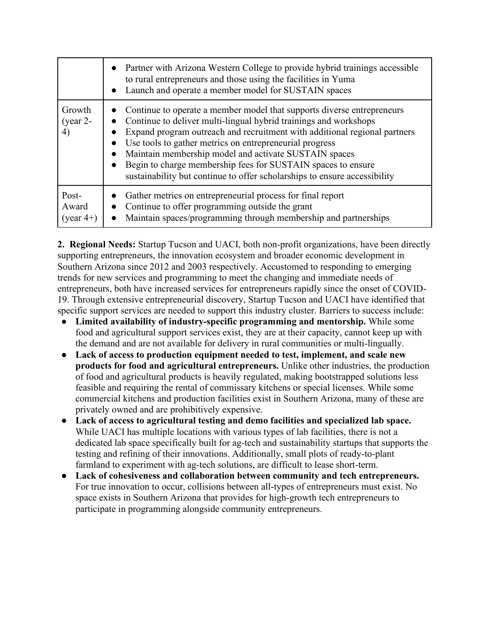|                                | • Partner with Arizona Western College to provide hybrid trainings accessible<br>to rural entrepreneurs and those using the facilities in Yuma<br>• Launch and operate a member model for SUSTAIN spaces                                                                                                                                                                                                                                                                                              |
|--------------------------------|-------------------------------------------------------------------------------------------------------------------------------------------------------------------------------------------------------------------------------------------------------------------------------------------------------------------------------------------------------------------------------------------------------------------------------------------------------------------------------------------------------|
| Growth<br>(year $2-$<br>4)     | Continue to operate a member model that supports diverse entrepreneurs<br>Continue to deliver multi-lingual hybrid trainings and workshops<br>Expand program outreach and recruitment with additional regional partners<br>Use tools to gather metrics on entrepreneurial progress<br>Maintain membership model and activate SUSTAIN spaces<br>$\bullet$<br>Begin to charge membership fees for SUSTAIN spaces to ensure<br>sustainability but continue to offer scholarships to ensure accessibility |
| Post-<br>Award<br>(year $4+$ ) | Gather metrics on entrepreneurial process for final report<br>Continue to offer programming outside the grant<br>Maintain spaces/programming through membership and partnerships                                                                                                                                                                                                                                                                                                                      |

**2. Regional Needs:** Startup Tucson and UACI, both non-profit organizations, have been directly supporting entrepreneurs, the innovation ecosystem and broader economic development in Southern Arizona since 2012 and 2003 respectively. Accustomed to responding to emerging trends for new services and programming to meet the changing and immediate needs of entrepreneurs, both have increased services for entrepreneurs rapidly since the onset of COVID-19. Through extensive entrepreneurial discovery, Startup Tucson and UACI have identified that specific support services are needed to support this industry cluster. Barriers to success include:

- **Limited availability of industry-specific programming and mentorship.** While some food and agricultural support services exist, they are at their capacity, cannot keep up with the demand and are not available for delivery in rural communities or multi-lingually.
- **Lack of access to production equipment needed to test, implement, and scale new products for food and agricultural entrepreneurs.** Unlike other industries, the production of food and agricultural products is heavily regulated, making bootstrapped solutions less feasible and requiring the rental of commissary kitchens or special licenses. While some commercial kitchens and production facilities exist in Southern Arizona, many of these are privately owned and are prohibitively expensive.
- **Lack of access to agricultural testing and demo facilities and specialized lab space.**  While UACI has multiple locations with various types of lab facilities, there is not a dedicated lab space specifically built for ag-tech and sustainability startups that supports the testing and refining of their innovations. Additionally, small plots of ready-to-plant farmland to experiment with ag-tech solutions, are difficult to lease short-term.
- **Lack of cohesiveness and collaboration between community and tech entrepreneurs.**  For true innovation to occur, collisions between all-types of entrepreneurs must exist. No space exists in Southern Arizona that provides for high-growth tech entrepreneurs to participate in programming alongside community entrepreneurs.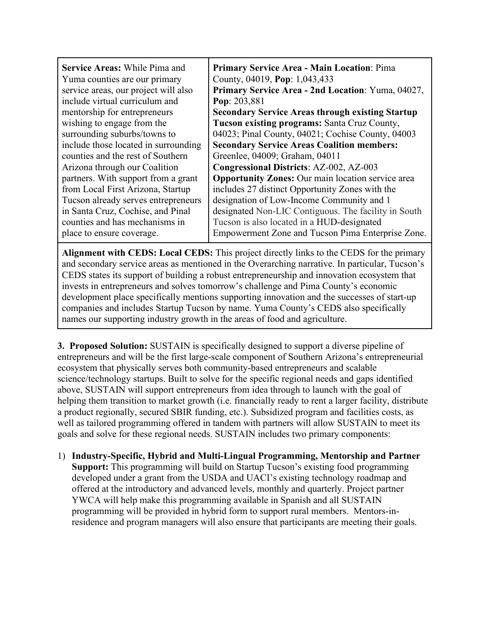| <b>Service Areas: While Pima and</b><br>Yuma counties are our primary<br>service areas, our project will also | <b>Primary Service Area - Main Location: Pima</b><br>County, 04019, Pop: 1,043,433<br>Primary Service Area - 2nd Location: Yuma, 04027, |
|---------------------------------------------------------------------------------------------------------------|-----------------------------------------------------------------------------------------------------------------------------------------|
| include virtual curriculum and                                                                                | Pop: 203,881                                                                                                                            |
| mentorship for entrepreneurs                                                                                  | <b>Secondary Service Areas through existing Startup</b>                                                                                 |
| wishing to engage from the                                                                                    | Tucson existing programs: Santa Cruz County,                                                                                            |
| surrounding suburbs/towns to                                                                                  | 04023; Pinal County, 04021; Cochise County, 04003                                                                                       |
| include those located in surrounding                                                                          | <b>Secondary Service Areas Coalition members:</b>                                                                                       |
| counties and the rest of Southern                                                                             | Greenlee, 04009; Graham, 04011                                                                                                          |
| Arizona through our Coalition                                                                                 | <b>Congressional Districts: AZ-002, AZ-003</b>                                                                                          |
| partners. With support from a grant                                                                           | <b>Opportunity Zones:</b> Our main location service area                                                                                |
| from Local First Arizona, Startup                                                                             | includes 27 distinct Opportunity Zones with the                                                                                         |
| Tucson already serves entrepreneurs                                                                           | designation of Low-Income Community and 1                                                                                               |
| in Santa Cruz, Cochise, and Pinal                                                                             | designated Non-LIC Contiguous. The facility in South                                                                                    |
| counties and has mechanisms in                                                                                | Tucson is also located in a HUD-designated                                                                                              |
| place to ensure coverage.                                                                                     | Empowerment Zone and Tucson Pima Enterprise Zone.                                                                                       |

**Alignment with CEDS: Local CEDS:** This project directly links to the CEDS for the primary and secondary service areas as mentioned in the Overarching narrative. In particular, Tucson's CEDS states its support of building a robust entrepreneurship and innovation ecosystem that invests in entrepreneurs and solves tomorrow's challenge and Pima County's economic development place specifically mentions supporting innovation and the successes of start-up companies and includes Startup Tucson by name. Yuma County's CEDS also specifically names our supporting industry growth in the areas of food and agriculture.

**3. Proposed Solution:** SUSTAIN is specifically designed to support a diverse pipeline of entrepreneurs and will be the first large-scale component of Southern Arizona's entrepreneurial ecosystem that physically serves both community-based entrepreneurs and scalable science/technology startups. Built to solve for the specific regional needs and gaps identified above, SUSTAIN will support entrepreneurs from idea through to launch with the goal of helping them transition to market growth (i.e. financially ready to rent a larger facility, distribute a product regionally, secured SBIR funding, etc.). Subsidized program and facilities costs, as well as tailored programming offered in tandem with partners will allow SUSTAIN to meet its goals and solve for these regional needs. SUSTAIN includes two primary components:

1) **Industry-Specific, Hybrid and Multi-Lingual Programming, Mentorship and Partner Support:** This programming will build on Startup Tucson's existing food programming developed under a grant from the USDA and UACI's existing technology roadmap and offered at the introductory and advanced levels, monthly and quarterly. Project partner YWCA will help make this programming available in Spanish and all SUSTAIN programming will be provided in hybrid form to support rural members. Mentors-inresidence and program managers will also ensure that participants are meeting their goals.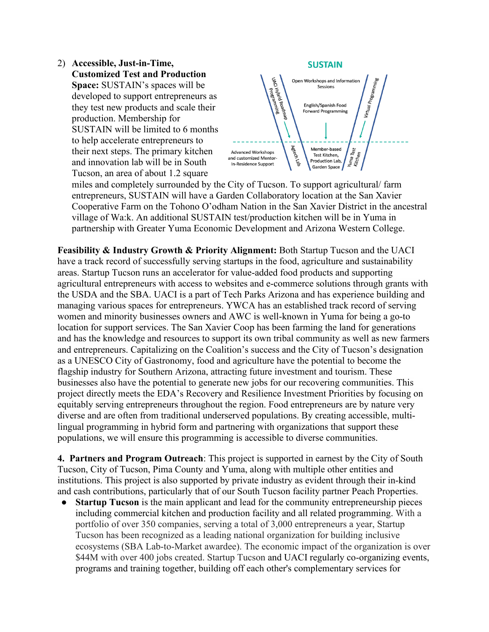



miles and completely surrounded by the City of Tucson. To support agricultural/ farm entrepreneurs, SUSTAIN will have a Garden Collaboratory location at the San Xavier Cooperative Farm on the Tohono O'odham Nation in the San Xavier District in the ancestral village of Wa:k. An additional SUSTAIN test/production kitchen will be in Yuma in partnership with Greater Yuma Economic Development and Arizona Western College.

**Feasibility & Industry Growth & Priority Alignment:** Both Startup Tucson and the UACI have a track record of successfully serving startups in the food, agriculture and sustainability areas. Startup Tucson runs an accelerator for value-added food products and supporting agricultural entrepreneurs with access to websites and e-commerce solutions through grants with the USDA and the SBA. UACI is a part of Tech Parks Arizona and has experience building and managing various spaces for entrepreneurs. YWCA has an established track record of serving women and minority businesses owners and AWC is well-known in Yuma for being a go-to location for support services. The San Xavier Coop has been farming the land for generations and has the knowledge and resources to support its own tribal community as well as new farmers and entrepreneurs. Capitalizing on the Coalition's success and the City of Tucson's designation as a UNESCO City of Gastronomy, food and agriculture have the potential to become the flagship industry for Southern Arizona, attracting future investment and tourism. These businesses also have the potential to generate new jobs for our recovering communities. This project directly meets the EDA's Recovery and Resilience Investment Priorities by focusing on equitably serving entrepreneurs throughout the region. Food entrepreneurs are by nature very diverse and are often from traditional underserved populations. By creating accessible, multilingual programming in hybrid form and partnering with organizations that support these populations, we will ensure this programming is accessible to diverse communities.

**4. Partners and Program Outreach**: This project is supported in earnest by the City of South Tucson, City of Tucson, Pima County and Yuma, along with multiple other entities and institutions. This project is also supported by private industry as evident through their in-kind and cash contributions, particularly that of our South Tucson facility partner Peach Properties.

● **Startup Tucson** is the main applicant and lead for the community entrepreneurship pieces including commercial kitchen and production facility and all related programming. With a portfolio of over 350 companies, serving a total of 3,000 entrepreneurs a year, Startup Tucson has been recognized as a leading national organization for building inclusive ecosystems (SBA Lab-to-Market awardee). The economic impact of the organization is over \$44M with over 400 jobs created. Startup Tucson and UACI regularly co-organizing events, programs and training together, building off each other's complementary services for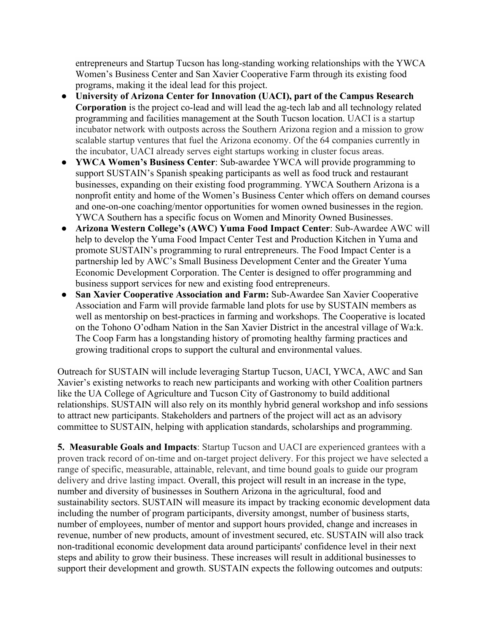entrepreneurs and Startup Tucson has long-standing working relationships with the YWCA Women's Business Center and San Xavier Cooperative Farm through its existing food programs, making it the ideal lead for this project.

- **University of Arizona Center for Innovation (UACI), part of the Campus Research Corporation** is the project co-lead and will lead the ag-tech lab and all technology related programming and facilities management at the South Tucson location. UACI is a startup incubator network with outposts across the Southern Arizona region and a mission to grow scalable startup ventures that fuel the Arizona economy. Of the 64 companies currently in the incubator, UACI already serves eight startups working in cluster focus areas.
- **YWCA Women's Business Center**: Sub-awardee YWCA will provide programming to support SUSTAIN's Spanish speaking participants as well as food truck and restaurant businesses, expanding on their existing food programming. YWCA Southern Arizona is a nonprofit entity and home of the Women's Business Center which offers on demand courses and one-on-one coaching/mentor opportunities for women owned businesses in the region. YWCA Southern has a specific focus on Women and Minority Owned Businesses.
- **Arizona Western College's (AWC) Yuma Food Impact Center**: Sub-Awardee AWC will help to develop the Yuma Food Impact Center Test and Production Kitchen in Yuma and promote SUSTAIN's programming to rural entrepreneurs. The Food Impact Center is a partnership led by AWC's Small Business Development Center and the Greater Yuma Economic Development Corporation. The Center is designed to offer programming and business support services for new and existing food entrepreneurs.
- **San Xavier Cooperative Association and Farm:** Sub-Awardee San Xavier Cooperative Association and Farm will provide farmable land plots for use by SUSTAIN members as well as mentorship on best-practices in farming and workshops. The Cooperative is located on the Tohono O'odham Nation in the San Xavier District in the ancestral village of Wa:k. The Coop Farm has a longstanding history of promoting healthy farming practices and growing traditional crops to support the cultural and environmental values.

Outreach for SUSTAIN will include leveraging Startup Tucson, UACI, YWCA, AWC and San Xavier's existing networks to reach new participants and working with other Coalition partners like the UA College of Agriculture and Tucson City of Gastronomy to build additional relationships. SUSTAIN will also rely on its monthly hybrid general workshop and info sessions to attract new participants. Stakeholders and partners of the project will act as an advisory committee to SUSTAIN, helping with application standards, scholarships and programming.

**5. Measurable Goals and Impacts**: Startup Tucson and UACI are experienced grantees with a proven track record of on-time and on-target project delivery. For this project we have selected a range of specific, measurable, attainable, relevant, and time bound goals to guide our program delivery and drive lasting impact. Overall, this project will result in an increase in the type, number and diversity of businesses in Southern Arizona in the agricultural, food and sustainability sectors. SUSTAIN will measure its impact by tracking economic development data including the number of program participants, diversity amongst, number of business starts, number of employees, number of mentor and support hours provided, change and increases in revenue, number of new products, amount of investment secured, etc. SUSTAIN will also track non-traditional economic development data around participants' confidence level in their next steps and ability to grow their business. These increases will result in additional businesses to support their development and growth. SUSTAIN expects the following outcomes and outputs: